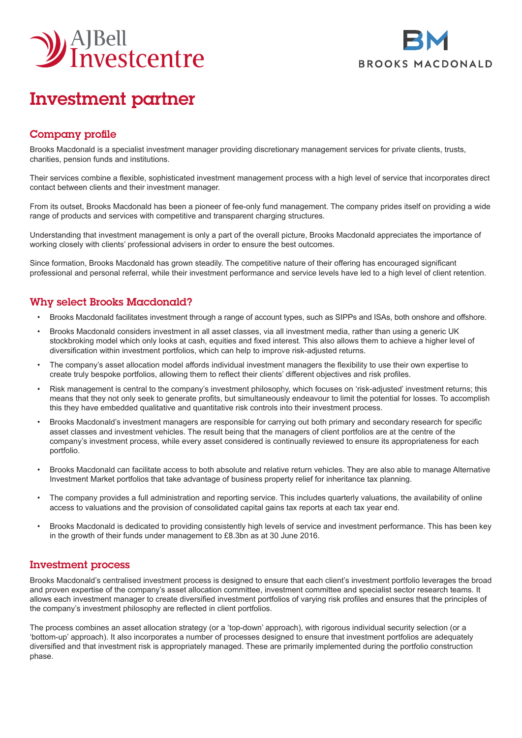



# Investment partner

## Company profile

Brooks Macdonald is a specialist investment manager providing discretionary management services for private clients, trusts, charities, pension funds and institutions.

Their services combine a flexible, sophisticated investment management process with a high level of service that incorporates direct contact between clients and their investment manager.

From its outset, Brooks Macdonald has been a pioneer of fee-only fund management. The company prides itself on providing a wide range of products and services with competitive and transparent charging structures.

Understanding that investment management is only a part of the overall picture, Brooks Macdonald appreciates the importance of working closely with clients' professional advisers in order to ensure the best outcomes.

Since formation, Brooks Macdonald has grown steadily. The competitive nature of their offering has encouraged significant professional and personal referral, while their investment performance and service levels have led to a high level of client retention.

## Why select Brooks Macdonald?

- Brooks Macdonald facilitates investment through a range of account types, such as SIPPs and ISAs, both onshore and offshore.
- Brooks Macdonald considers investment in all asset classes, via all investment media, rather than using a generic UK stockbroking model which only looks at cash, equities and fixed interest. This also allows them to achieve a higher level of diversification within investment portfolios, which can help to improve risk-adjusted returns.
- The company's asset allocation model affords individual investment managers the flexibility to use their own expertise to create truly bespoke portfolios, allowing them to reflect their clients' different objectives and risk profiles.
- Risk management is central to the company's investment philosophy, which focuses on 'risk-adjusted' investment returns; this means that they not only seek to generate profits, but simultaneously endeavour to limit the potential for losses. To accomplish this they have embedded qualitative and quantitative risk controls into their investment process.
- Brooks Macdonald's investment managers are responsible for carrying out both primary and secondary research for specific asset classes and investment vehicles. The result being that the managers of client portfolios are at the centre of the company's investment process, while every asset considered is continually reviewed to ensure its appropriateness for each portfolio.
- Brooks Macdonald can facilitate access to both absolute and relative return vehicles. They are also able to manage Alternative Investment Market portfolios that take advantage of business property relief for inheritance tax planning.
- The company provides a full administration and reporting service. This includes quarterly valuations, the availability of online access to valuations and the provision of consolidated capital gains tax reports at each tax year end.
- Brooks Macdonald is dedicated to providing consistently high levels of service and investment performance. This has been key in the growth of their funds under management to £8.3bn as at 30 June 2016.

### Investment process

Brooks Macdonald's centralised investment process is designed to ensure that each client's investment portfolio leverages the broad and proven expertise of the company's asset allocation committee, investment committee and specialist sector research teams. It allows each investment manager to create diversified investment portfolios of varying risk profiles and ensures that the principles of the company's investment philosophy are reflected in client portfolios.

The process combines an asset allocation strategy (or a 'top-down' approach), with rigorous individual security selection (or a 'bottom-up' approach). It also incorporates a number of processes designed to ensure that investment portfolios are adequately diversified and that investment risk is appropriately managed. These are primarily implemented during the portfolio construction phase.